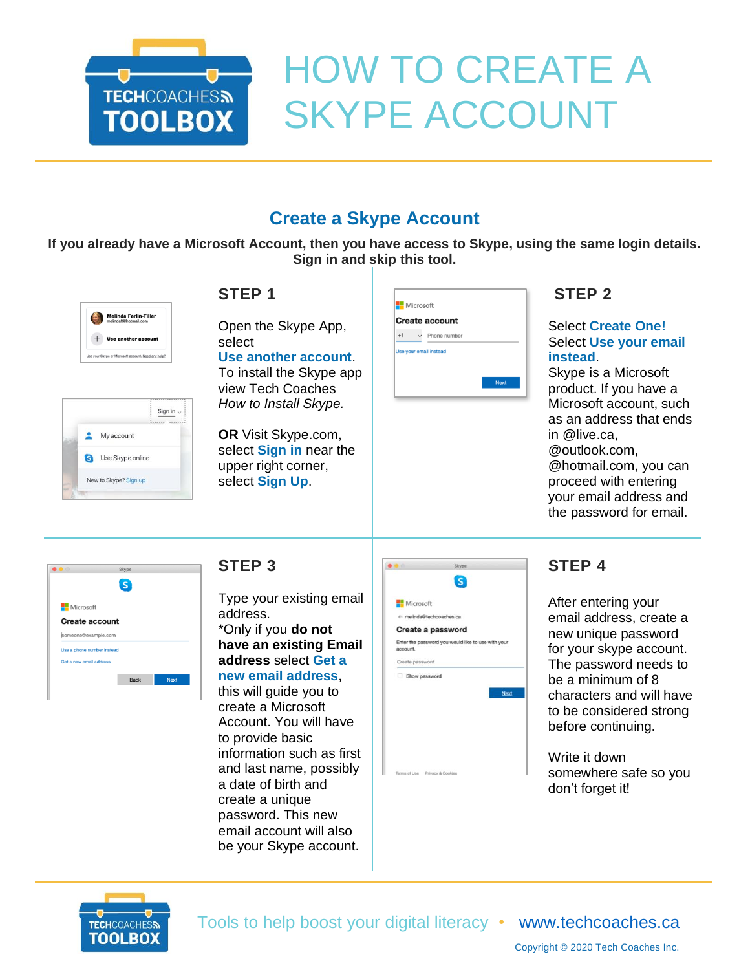

# HOW TO CREATE A SKYPE ACCOUNT

# **Create a Skype Account**

**If you already have a Microsoft Account, then you have access to Skype, using the same login details. Sign in and skip this tool.**



|    | Sign in $\sim$        |
|----|-----------------------|
| ÷  | My account            |
| នេ | Use Skype online      |
|    | New to Skype? Sign up |
|    |                       |

## **STEP 1**

Open the Skype App, select **Use another account**.

To install the Skype app view Tech Coaches *How to Install Skype.*

**OR** Visit Skype.com, select **Sign in** near the upper right corner, select **Sign Up**.



#### **STEP 2**

#### Select **Create One!** Select **Use your email instead**.

Skype is a Microsoft product. If you have a Microsoft account, such as an address that ends in @live.ca,

@outlook.com, @hotmail.com, you can proceed with entering your email address and the password for email.



#### **STEP 3**

Type your existing email address. \*Only if you **do not have an existing Email address** select **Get a new email address**,

this will guide you to create a Microsoft Account. You will have to provide basic information such as first and last name, possibly a date of birth and create a unique password. This new email account will also be your Skype account.

|                          | Skype                                              |
|--------------------------|----------------------------------------------------|
|                          | s                                                  |
| Microsoft                |                                                    |
| ← melinda@techcoaches.ca |                                                    |
|                          | Create a password                                  |
| account.                 | Enter the password you would like to use with your |
| Create password          |                                                    |
| Show password            |                                                    |
|                          | Next                                               |
|                          |                                                    |
|                          |                                                    |
|                          |                                                    |
|                          |                                                    |
|                          |                                                    |
|                          |                                                    |

## **STEP 4**

After entering your email address, create a new unique password for your skype account. The password needs to be a minimum of 8 characters and will have to be considered strong before continuing.

Write it down somewhere safe so you don't forget it!



Tools to help boost your digital literacy • [www.techcoaches.ca](http://www.techcoaches.ca/)

Copyright © 2020 Tech Coaches Inc.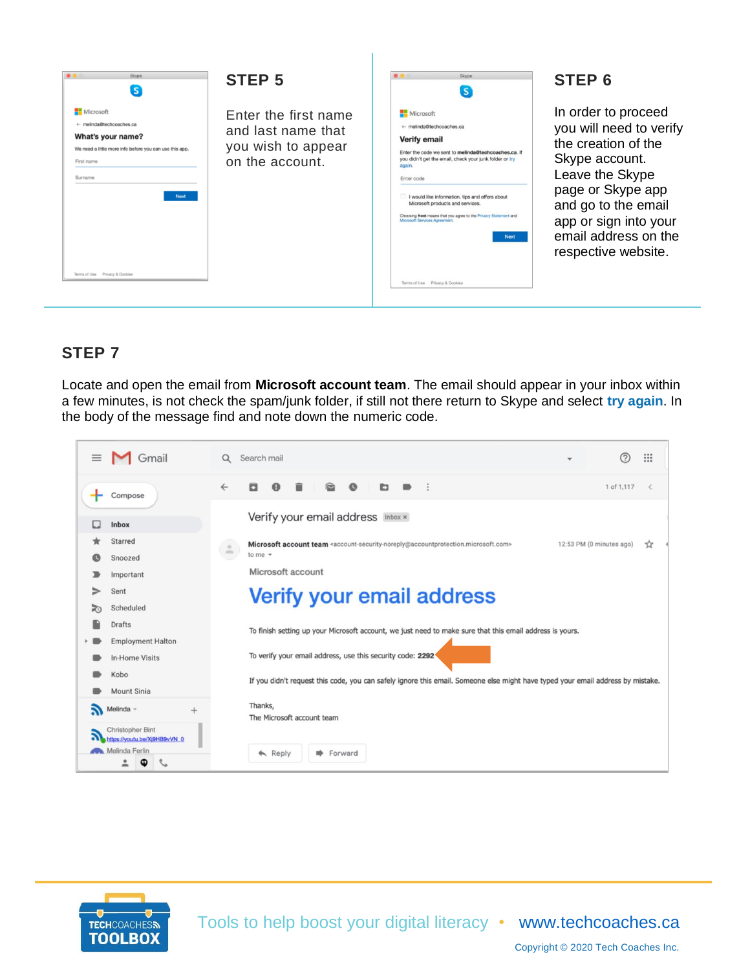

#### **STEP 6**

In order to proceed you will need to verify the creation of the Skype account. Leave the Skype page or Skype app and go to the email app or sign into your email address on the respective website.

#### **STEP 7**

Locate and open the email from **Microsoft account team**. The email should appear in your inbox within a few minutes, is not check the spam/junk folder, if still not there return to Skype and select **try again**. In the body of the message find and note down the numeric code.





Copyright © 2020 Tech Coaches Inc.